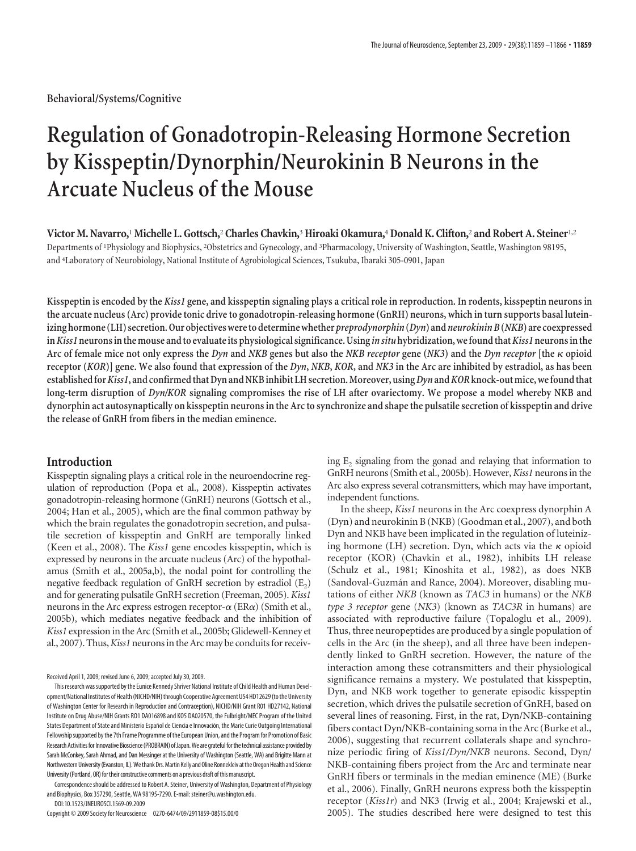# **Regulation of Gonadotropin-Releasing Hormone Secretion by Kisspeptin/Dynorphin/Neurokinin B Neurons in the Arcuate Nucleus of the Mouse**

**Victor M. Navarro,**<sup>1</sup>**Michelle L. Gottsch,**<sup>2</sup> **Charles Chavkin,**<sup>3</sup>**Hiroaki Okamura,**<sup>4</sup>**Donald K. Clifton,**<sup>2</sup> **and Robert A. Steiner**1,2 Departments of <sup>1</sup>Physiology and Biophysics, <sup>2</sup>Obstetrics and Gynecology, and <sup>3</sup>Pharmacology, University of Washington, Seattle, Washington 98195, and <sup>4</sup> Laboratory of Neurobiology, National Institute of Agrobiological Sciences, Tsukuba, Ibaraki 305-0901, Japan

**Kisspeptin is encoded by the** *Kiss1* **gene, and kisspeptin signaling plays a critical role in reproduction. In rodents, kisspeptin neurons in the arcuate nucleus (Arc) provide tonic drive to gonadotropin-releasing hormone (GnRH) neurons, which in turn supports basal luteinizing hormone (LH) secretion. Our objectives wereto determine whether** *preprodynorphin***(***Dyn***) and***neurokinin B***(***NKB***) are coexpressed in***Kiss1***neuronsinthemouse andto evaluateits physiological significance. Using** *in situ* **hybridization, wefoundthat***Kiss1***neuronsinthe Arc of female mice not only express the** *Dyn* **and** *NKB* **genes but also the** *NKB receptor* **gene (***NK3***) and the** *Dyn receptor* **[the opioid receptor (***KOR***)] gene. We also found that expression of the** *Dyn***,** *NKB***,** *KOR***, and** *NK3* **in the Arc are inhibited by estradiol, as has been establishedfor***Kiss1***, and confirmedthatDyn andNKBinhibitLH secretion.Moreover,using***Dyn***and***KOR***knock-outmice,wefoundthat long-term disruption of** *Dyn/KOR* **signaling compromises the rise of LH after ovariectomy. We propose a model whereby NKB and dynorphin act autosynaptically on kisspeptin neurons in the Arc to synchronize and shape the pulsatile secretion of kisspeptin and drive the release of GnRH from fibers in the median eminence.**

# **Introduction**

Kisspeptin signaling plays a critical role in the neuroendocrine regulation of reproduction (Popa et al., 2008). Kisspeptin activates gonadotropin-releasing hormone (GnRH) neurons(Gottsch et al., 2004; Han et al., 2005), which are the final common pathway by which the brain regulates the gonadotropin secretion, and pulsatile secretion of kisspeptin and GnRH are temporally linked (Keen et al., 2008). The *Kiss1* gene encodes kisspeptin, which is expressed by neurons in the arcuate nucleus (Arc) of the hypothalamus (Smith et al., 2005a,b), the nodal point for controlling the negative feedback regulation of GnRH secretion by estradiol  $(E_2)$ and for generating pulsatile GnRH secretion (Freeman, 2005). *Kiss1* neurons in the Arc express estrogen receptor- $\alpha$  (ER $\alpha$ ) (Smith et al., 2005b), which mediates negative feedback and the inhibition of *Kiss1* expression in the Arc (Smith et al., 2005b; Glidewell-Kenney et al., 2007). Thus, *Kiss1* neurons in the Arc may be conduits for receiv-

Received April 1, 2009; revised June 6, 2009; accepted July 30, 2009.

This research was supported by the Eunice Kennedy Shriver National Institute of Child Health and Human Development/National Institutes of Health (NICHD/NIH) through Cooperative Agreement U54 HD12629 (to the University of Washington Center for Research in Reproduction and Contraception), NICHD/NIH Grant R01 HD27142, National Institute on Drug Abuse/NIH Grants RO1 DA016898 and KO5 DA020570, the Fulbright/MEC Program of the United States Department of State and Ministerio Español de Ciencia e Innovación, the Marie Curie Outgoing International Fellowshipsupported by the 7th Frame Programme of the European Union, and the Program for Promotion of Basic Research Activities for Innovative Bioscience (PROBRAIN) of Japan. We are grateful for the technical assistance provided by Sarah McConkey, Sarah Ahmad, and Dan Messinger at the University of Washington (Seattle, WA) and Brigitte Mann at Northwestern University (Evanston, IL). We thank Drs. Martin Kelly and Oline Ronnekleiv at the Oregon Health and Science University (Portland, OR) for their constructive comments on a previous draft of this manuscript.

Correspondence should be addressed to Robert A. Steiner, University of Washington, Department of Physiology and Biophysics, Box 357290, Seattle, WA 98195-7290. E-mail: steiner@u.washington.edu.

DOI:10.1523/JNEUROSCI.1569-09.2009

Copyright © 2009 Society for Neuroscience 0270-6474/09/2911859-08\$15.00/0

ing  $E<sub>2</sub>$  signaling from the gonad and relaying that information to GnRH neurons (Smith et al., 2005b). However,*Kiss1* neurons in the Arc also express several cotransmitters, which may have important, independent functions.

In the sheep, *Kiss1* neurons in the Arc coexpress dynorphin A (Dyn) and neurokinin B (NKB) (Goodman et al., 2007), and both Dyn and NKB have been implicated in the regulation of luteinizing hormone (LH) secretion. Dyn, which acts via the  $\kappa$  opioid receptor (KOR) (Chavkin et al., 1982), inhibits LH release (Schulz et al., 1981; Kinoshita et al., 1982), as does NKB (Sandoval-Guzmán and Rance, 2004). Moreover, disabling mutations of either *NKB* (known as *TAC3* in humans) or the *NKB type 3 receptor* gene (*NK3*) (known as *TAC3R* in humans) are associated with reproductive failure (Topaloglu et al., 2009). Thus, three neuropeptides are produced by a single population of cells in the Arc (in the sheep), and all three have been independently linked to GnRH secretion. However, the nature of the interaction among these cotransmitters and their physiological significance remains a mystery. We postulated that kisspeptin, Dyn, and NKB work together to generate episodic kisspeptin secretion, which drives the pulsatile secretion of GnRH, based on several lines of reasoning. First, in the rat, Dyn/NKB-containing fibers contact Dyn/NKB-containing soma in the Arc (Burke et al., 2006), suggesting that recurrent collaterals shape and synchronize periodic firing of *Kiss1/Dyn/NKB* neurons. Second, Dyn/ NKB-containing fibers project from the Arc and terminate near GnRH fibers or terminals in the median eminence (ME) (Burke et al., 2006). Finally, GnRH neurons express both the kisspeptin receptor (*Kiss1r*) and NK3 (Irwig et al., 2004; Krajewski et al., 2005). The studies described here were designed to test this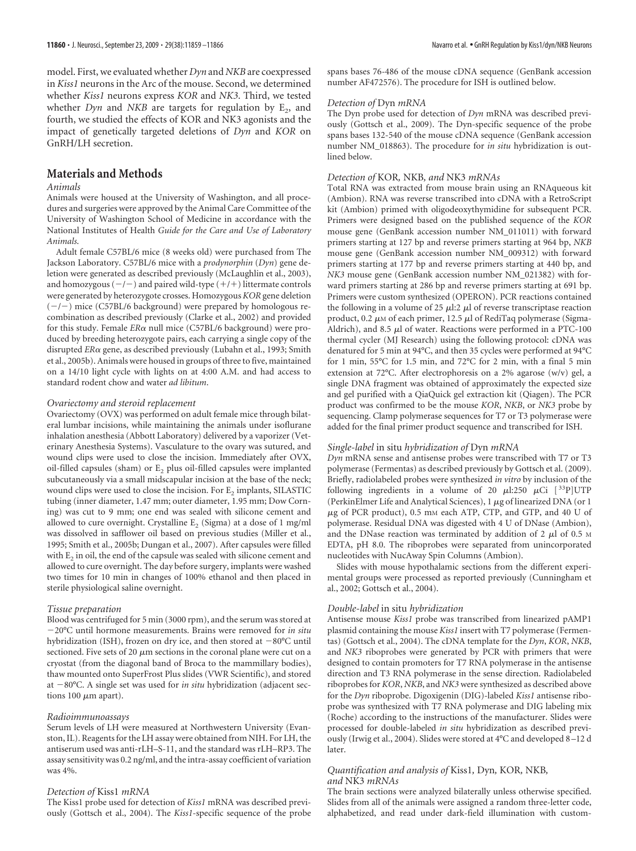model. First, we evaluated whether *Dyn* and *NKB* are coexpressed in *Kiss1* neurons in the Arc of the mouse. Second, we determined whether *Kiss1* neurons express *KOR* and *NK3*. Third, we tested whether *Dyn* and *NKB* are targets for regulation by  $E_2$ , and fourth, we studied the effects of KOR and NK3 agonists and the impact of genetically targeted deletions of *Dyn* and *KOR* on GnRH/LH secretion.

# **Materials and Methods**

#### *Animals*

Animals were housed at the University of Washington, and all procedures and surgeries were approved by the Animal Care Committee of the University of Washington School of Medicine in accordance with the National Institutes of Health *Guide for the Care and Use of Laboratory Animals*.

Adult female C57BL/6 mice (8 weeks old) were purchased from The Jackson Laboratory. C57BL/6 mice with a *prodynorphin* (*Dyn*) gene deletion were generated as described previously (McLaughlin et al., 2003), and homozygous  $(-/-)$  and paired wild-type  $(+/+)$  littermate controls were generated by heterozygote crosses. Homozygous*KOR* gene deletion  $(-/-)$  mice (C57BL/6 background) were prepared by homologous recombination as described previously (Clarke et al., 2002) and provided for this study. Female *ERα* null mice (C57BL/6 background) were produced by breeding heterozygote pairs, each carrying a single copy of the disrupted *ERo* gene, as described previously (Lubahn et al., 1993; Smith et al., 2005b). Animals were housed in groups of three to five, maintained on a 14/10 light cycle with lights on at 4:00 A.M. and had access to standard rodent chow and water *ad libitum*.

## *Ovariectomy and steroid replacement*

Ovariectomy (OVX) was performed on adult female mice through bilateral lumbar incisions, while maintaining the animals under isoflurane inhalation anesthesia (Abbott Laboratory) delivered by a vaporizer (Veterinary Anesthesia Systems). Vasculature to the ovary was sutured, and wound clips were used to close the incision. Immediately after OVX, oil-filled capsules (sham) or  $E_2$  plus oil-filled capsules were implanted subcutaneously via a small midscapular incision at the base of the neck; wound clips were used to close the incision. For  $E_2$  implants, SILASTIC tubing (inner diameter, 1.47 mm; outer diameter, 1.95 mm; Dow Corning) was cut to 9 mm; one end was sealed with silicone cement and allowed to cure overnight. Crystalline  $E_2$  (Sigma) at a dose of 1 mg/ml was dissolved in safflower oil based on previous studies (Miller et al., 1995; Smith et al., 2005b; Dungan et al., 2007). After capsules were filled with  $E_2$  in oil, the end of the capsule was sealed with silicone cement and allowed to cure overnight. The day before surgery, implants were washed two times for 10 min in changes of 100% ethanol and then placed in sterile physiological saline overnight.

#### *Tissue preparation*

Blood was centrifuged for 5 min (3000 rpm), and the serum was stored at 20°C until hormone measurements. Brains were removed for *in situ* hybridization (ISH), frozen on dry ice, and then stored at  $-80^{\circ}$ C until sectioned. Five sets of 20  $\mu$ m sections in the coronal plane were cut on a cryostat (from the diagonal band of Broca to the mammillary bodies), thaw mounted onto SuperFrost Plus slides (VWR Scientific), and stored at -80°C. A single set was used for *in situ* hybridization (adjacent sections 100  $\mu$ m apart).

#### *Radioimmunoassays*

Serum levels of LH were measured at Northwestern University (Evanston, IL). Reagents for the LH assay were obtained from NIH. For LH, the antiserum used was anti-rLH–S-11, and the standard was rLH–RP3. The assay sensitivity was 0.2 ng/ml, and the intra-assay coefficient of variation was 4%.

#### *Detection of* Kiss1 *mRNA*

The Kiss1 probe used for detection of *Kiss1* mRNA was described previously (Gottsch et al., 2004). The *Kiss1*-specific sequence of the probe spans bases 76-486 of the mouse cDNA sequence (GenBank accession number AF472576). The procedure for ISH is outlined below.

### *Detection of* Dyn *mRNA*

The Dyn probe used for detection of *Dyn* mRNA was described previously (Gottsch et al., 2009). The Dyn-specific sequence of the probe spans bases 132-540 of the mouse cDNA sequence (GenBank accession number NM\_018863). The procedure for *in situ* hybridization is outlined below.

#### *Detection of* KOR*,* NKB*, and* NK3 *mRNAs*

Total RNA was extracted from mouse brain using an RNAqueous kit (Ambion). RNA was reverse transcribed into cDNA with a RetroScript kit (Ambion) primed with oligodeoxythymidine for subsequent PCR. Primers were designed based on the published sequence of the *KOR* mouse gene (GenBank accession number NM\_011011) with forward primers starting at 127 bp and reverse primers starting at 964 bp, *NKB* mouse gene (GenBank accession number NM\_009312) with forward primers starting at 177 bp and reverse primers starting at 440 bp, and *NK3* mouse gene (GenBank accession number NM\_021382) with forward primers starting at 286 bp and reverse primers starting at 691 bp. Primers were custom synthesized (OPERON). PCR reactions contained the following in a volume of 25  $\mu$ 1:2  $\mu$ 1 of reverse transcriptase reaction product, 0.2  $\mu$ M of each primer, 12.5  $\mu$ l of RediTaq polymerase (Sigma-Aldrich), and 8.5  $\mu$ l of water. Reactions were performed in a PTC-100 thermal cycler (MJ Research) using the following protocol: cDNA was denatured for 5 min at 94°C, and then 35 cycles were performed at 94°C for 1 min, 55°C for 1.5 min, and 72°C for 2 min, with a final 5 min extension at 72°C. After electrophoresis on a 2% agarose (w/v) gel, a single DNA fragment was obtained of approximately the expected size and gel purified with a QiaQuick gel extraction kit (Qiagen). The PCR product was confirmed to be the mouse *KOR*, *NKB*, or *NK3* probe by sequencing. Clamp polymerase sequences for T7 or T3 polymerase were added for the final primer product sequence and transcribed for ISH.

#### *Single-label* in situ *hybridization of* Dyn *mRNA*

*Dyn* mRNA sense and antisense probes were transcribed with T7 or T3 polymerase (Fermentas) as described previously by Gottsch et al. (2009). Briefly, radiolabeled probes were synthesized *in vitro* by inclusion of the following ingredients in a volume of 20  $\mu$ l:250  $\mu$ Ci [<sup>33</sup>P]UTP (PerkinElmer Life and Analytical Sciences), 1  $\mu$ g of linearized DNA (or 1  $\mu$ g of PCR product), 0.5 mm each ATP, CTP, and GTP, and 40 U of polymerase. Residual DNA was digested with 4 U of DNase (Ambion), and the DNase reaction was terminated by addition of 2  $\mu$ l of 0.5 M EDTA, pH 8.0. The riboprobes were separated from unincorporated nucleotides with NucAway Spin Columns (Ambion).

Slides with mouse hypothalamic sections from the different experimental groups were processed as reported previously (Cunningham et al., 2002; Gottsch et al., 2004).

#### *Double-label* in situ *hybridization*

Antisense mouse *Kiss1* probe was transcribed from linearized pAMP1 plasmid containing the mouse *Kiss1* insert with T7 polymerase (Fermentas) (Gottsch et al., 2004). The cDNA template for the *Dyn*, *KOR*, *NKB*, and *NK3* riboprobes were generated by PCR with primers that were designed to contain promoters for T7 RNA polymerase in the antisense direction and T3 RNA polymerase in the sense direction. Radiolabeled riboprobes for *KOR*, *NKB*, and *NK3* were synthesized as described above for the *Dyn* riboprobe. Digoxigenin (DIG)-labeled *Kiss1* antisense riboprobe was synthesized with T7 RNA polymerase and DIG labeling mix (Roche) according to the instructions of the manufacturer. Slides were processed for double-labeled *in situ* hybridization as described previously (Irwig et al., 2004). Slides were stored at 4°C and developed 8 –12 d later.

#### *Quantification and analysis of* Kiss1*,* Dyn*,* KOR*,* NKB*, and* NK3 *mRNAs*

The brain sections were analyzed bilaterally unless otherwise specified. Slides from all of the animals were assigned a random three-letter code, alphabetized, and read under dark-field illumination with custom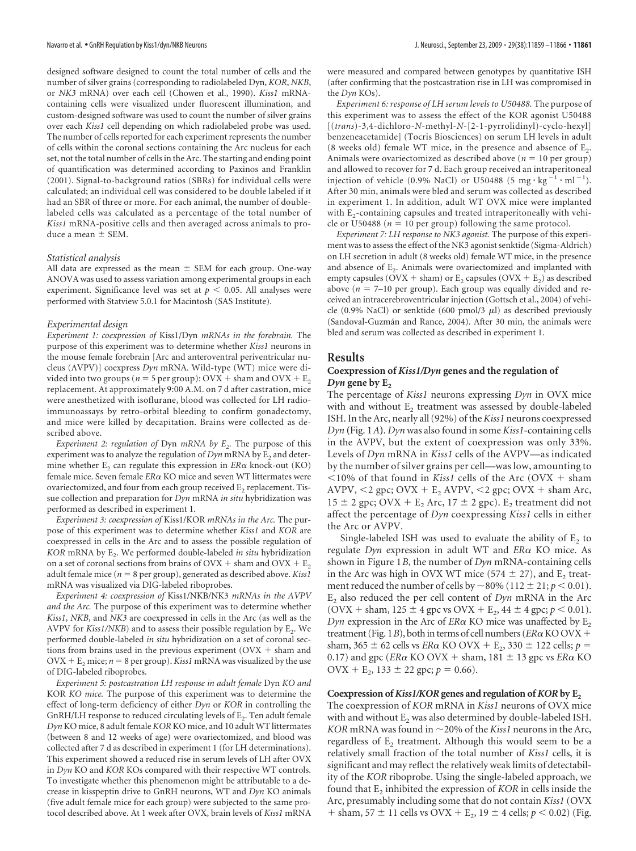designed software designed to count the total number of cells and the number of silver grains (corresponding to radiolabeled Dyn, *KOR*, *NKB*, or *NK3* mRNA) over each cell (Chowen et al., 1990). *Kiss1* mRNAcontaining cells were visualized under fluorescent illumination, and custom-designed software was used to count the number of silver grains over each *Kiss1* cell depending on which radiolabeled probe was used. The number of cells reported for each experiment represents the number of cells within the coronal sections containing the Arc nucleus for each set, not the total number of cells in the Arc. The starting and ending point of quantification was determined according to Paxinos and Franklin (2001). Signal-to-background ratios (SBRs) for individual cells were calculated; an individual cell was considered to be double labeled if it had an SBR of three or more. For each animal, the number of doublelabeled cells was calculated as a percentage of the total number of *Kiss1* mRNA-positive cells and then averaged across animals to produce a mean  $\pm$  SEM.

#### *Statistical analysis*

All data are expressed as the mean  $\pm$  SEM for each group. One-way ANOVA was used to assess variation among experimental groups in each experiment. Significance level was set at  $p < 0.05$ . All analyses were performed with Statview 5.0.1 for Macintosh (SAS Institute).

#### *Experimental design*

*Experiment 1: coexpression of* Kiss1/Dyn *mRNAs in the forebrain.* The purpose of this experiment was to determine whether *Kiss1* neurons in the mouse female forebrain [Arc and anteroventral periventricular nucleus (AVPV)] coexpress *Dyn* mRNA. Wild-type (WT) mice were divided into two groups ( $n = 5$  per group): OVX + sham and OVX +  $E_2$ replacement. At approximately 9:00 A.M. on 7 d after castration, mice were anesthetized with isoflurane, blood was collected for LH radioimmunoassays by retro-orbital bleeding to confirm gonadectomy, and mice were killed by decapitation. Brains were collected as described above.

*Experiment 2: regulation of Dyn mRNA by*  $E<sub>2</sub>$ *. The purpose of this* experiment was to analyze the regulation of  $Dyn$  mRNA by  $E<sub>2</sub>$  and determine whether  $E_2$  can regulate this expression in  $ER\alpha$  knock-out (KO) female mice. Seven female *ERα* KO mice and seven WT littermates were ovariectomized, and four from each group received  $E<sub>2</sub>$  replacement. Tissue collection and preparation for *Dyn* mRNA *in situ* hybridization was performed as described in experiment 1.

*Experiment 3: coexpression of* Kiss1/KOR *mRNAs in the Arc.* The purpose of this experiment was to determine whether *Kiss1* and *KOR* are coexpressed in cells in the Arc and to assess the possible regulation of *KOR* mRNA by E<sub>2</sub>. We performed double-labeled *in situ* hybridization on a set of coronal sections from brains of  $\text{OVX} + \text{sham}$  and  $\text{OVX} + \text{E}_2$ adult female mice ( $n = 8$  per group), generated as described above. *Kiss1* mRNA was visualized via DIG-labeled riboprobes.

*Experiment 4: coexpression of* Kiss1/NKB/NK3 *mRNAs in the AVPV and the Arc.* The purpose of this experiment was to determine whether *Kiss1*, *NKB*, and *NK3* are coexpressed in cells in the Arc (as well as the AVPV for *Kiss1/NKB*) and to assess their possible regulation by  $E_2$ . We performed double-labeled *in situ* hybridization on a set of coronal sections from brains used in the previous experiment (OVX - sham and  $\text{OVX} + \text{E}_2$  mice;  $n = 8$  per group). *Kiss1* mRNA was visualized by the use of DIG-labeled riboprobes.

*Experiment 5: postcastration LH response in adult female* Dyn *KO and* KOR *KO mice.* The purpose of this experiment was to determine the effect of long-term deficiency of either *Dyn* or *KOR* in controlling the GnRH/LH response to reduced circulating levels of  $E_2$ . Ten adult female *Dyn* KO mice, 8 adult female *KOR* KO mice, and 10 adult WT littermates (between 8 and 12 weeks of age) were ovariectomized, and blood was collected after 7 d as described in experiment 1 (for LH determinations). This experiment showed a reduced rise in serum levels of LH after OVX in *Dyn* KO and *KOR* KOs compared with their respective WT controls. To investigate whether this phenomenon might be attributable to a decrease in kisspeptin drive to GnRH neurons, WT and *Dyn* KO animals (five adult female mice for each group) were subjected to the same protocol described above. At 1 week after OVX, brain levels of *Kiss1* mRNA

were measured and compared between genotypes by quantitative ISH (after confirming that the postcastration rise in LH was compromised in the *Dyn* KOs).

*Experiment 6: response of LH serum levels to U50488.* The purpose of this experiment was to assess the effect of the KOR agonist U50488 [(*trans*)-3,4-dichloro-*N*-methyl*-N*-[2-1-pyrrolidinyl)-cyclo-hexyl] benzeneacetamide] (Tocris Biosciences) on serum LH levels in adult (8 weeks old) female WT mice, in the presence and absence of  $E_2$ . Animals were ovariectomized as described above  $(n = 10$  per group) and allowed to recover for 7 d. Each group received an intraperitoneal injection of vehicle (0.9% NaCl) or U50488 (5 mg·kg<sup>-1</sup>·ml<sup>-1</sup>). After 30 min, animals were bled and serum was collected as described in experiment 1. In addition, adult WT OVX mice were implanted with  $E_2$ -containing capsules and treated intraperitoneally with vehicle or U50488 ( $n = 10$  per group) following the same protocol.

*Experiment 7: LH response to NK3 agonist.* The purpose of this experiment was to assess the effect of the NK3 agonist senktide (Sigma-Aldrich) on LH secretion in adult (8 weeks old) female WT mice, in the presence and absence of  $E_2$ . Animals were ovariectomized and implanted with empty capsules ( $\text{OVX} + \text{sham}$ ) or  $\text{E}_2$  capsules ( $\text{OVX} + \text{E}_2$ ) as described above  $(n = 7-10$  per group). Each group was equally divided and received an intracerebroventricular injection (Gottsch et al., 2004) of vehicle (0.9% NaCl) or senktide (600 pmol/3  $\mu$ l) as described previously (Sandoval-Guzmán and Rance, 2004). After 30 min, the animals were bled and serum was collected as described in experiment 1.

## **Results**

## **Coexpression of** *Kiss1/Dyn* **genes and the regulation of** *Dyn* gene by  $E_2$

The percentage of *Kiss1* neurons expressing *Dyn* in OVX mice with and without  $E_2$  treatment was assessed by double-labeled ISH. In the Arc, nearly all (92%) of the *Kiss1* neurons coexpressed *Dyn* **(**Fig. 1*A***)**. *Dyn* was also found in some *Kiss1*-containing cells in the AVPV, but the extent of coexpression was only 33%. Levels of *Dyn* mRNA in *Kiss1* cells of the AVPV—as indicated by the number of silver grains per cell—was low, amounting to  $<$ 10% of that found in *Kiss1* cells of the Arc (OVX + sham AVPV,  $\leq$ 2 gpc; OVX + E<sub>2</sub> AVPV,  $\leq$ 2 gpc; OVX + sham Arc,  $15 \pm 2$  gpc; OVX + E<sub>2</sub> Arc,  $17 \pm 2$  gpc). E<sub>2</sub> treatment did not affect the percentage of *Dyn* coexpressing *Kiss1* cells in either the Arc or AVPV.

Single-labeled ISH was used to evaluate the ability of  $E<sub>2</sub>$  to regulate *Dyn* expression in adult WT and *ER*- KO mice. As shown in Figure 1*B*, the number of *Dyn* mRNA-containing cells in the Arc was high in OVX WT mice (574  $\pm$  27), and E<sub>2</sub> treatment reduced the number of cells by  $\sim$  80% (112  $\pm$  21; *p* < 0.01). E<sub>2</sub> also reduced the per cell content of *Dyn* mRNA in the Arc (OVX + sham,  $125 \pm 4$  gpc vs OVX + E<sub>2</sub>,  $44 \pm 4$  gpc;  $p < 0.01$ ).  $Dyn$  expression in the Arc of  $ER\alpha$  KO mice was unaffected by  $E_2$ treatment (Fig.  $1B$ ), both in terms of cell numbers ( $ER\alpha$  KO OVX  $+$ sham, 365  $\pm$  62 cells vs *ER* $\alpha$  KO OVX + E<sub>2</sub>, 330  $\pm$  122 cells;  $p =$ 0.17) and gpc ( $ER\alpha$  KO OVX + sham,  $181 \pm 13$  gpc vs  $ER\alpha$  KO  $\text{OVX} + \text{E}_2$ , 133 ± 22 gpc;  $p = 0.66$ ).

#### Coexpression of *Kiss1/KOR* genes and regulation of *KOR* by E<sub>2</sub>

The coexpression of *KOR* mRNA in *Kiss1* neurons of OVX mice with and without  $E_2$  was also determined by double-labeled ISH.  $KOR$  mRNA was found in  $\sim$  20% of the *Kiss1* neurons in the Arc, regardless of  $E_2$  treatment. Although this would seem to be a relatively small fraction of the total number of *Kiss1* cells, it is significant and may reflect the relatively weak limits of detectability of the *KOR* riboprobe. Using the single-labeled approach, we found that E<sub>2</sub> inhibited the expression of *KOR* in cells inside the Arc, presumably including some that do not contain *Kiss1* (OVX + sham,  $57 \pm 11$  cells vs OVX + E<sub>2</sub>,  $19 \pm 4$  cells;  $p < 0.02$ ) (Fig.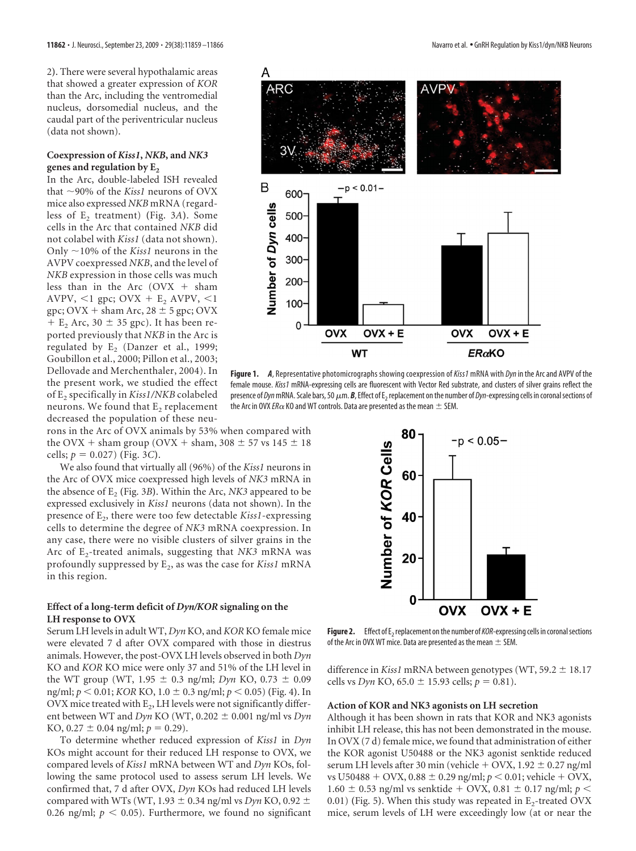2**)**. There were several hypothalamic areas that showed a greater expression of *KOR* than the Arc, including the ventromedial nucleus, dorsomedial nucleus, and the caudal part of the periventricular nucleus (data not shown).

## **Coexpression of** *Kiss1***,** *NKB***, and** *NK3* genes and regulation by E<sub>2</sub>

In the Arc, double-labeled ISH revealed that 90% of the *Kiss1* neurons of OVX mice also expressed *NKB* mRNA (regardless of E<sub>2</sub> treatment) (Fig. 3A). Some cells in the Arc that contained *NKB* did not colabel with *Kiss1* (data not shown). Only  $\sim$ 10% of the *Kiss1* neurons in the AVPV coexpressed *NKB*, and the level of *NKB* expression in those cells was much less than in the Arc  $(OVX + sham)$ AVPV,  $\leq 1$  gpc; OVX + E<sub>2</sub> AVPV,  $\leq 1$  $gpc$ ; OVX + sham Arc, 28  $\pm$  5  $gpc$ ; OVX  $+ E<sub>2</sub>$  Arc, 30  $\pm$  35 gpc). It has been reported previously that *NKB* in the Arc is regulated by  $E_2$  (Danzer et al., 1999; Goubillon et al., 2000; Pillon et al., 2003; Dellovade and Merchenthaler, 2004). In the present work, we studied the effect of E2 specifically in *Kiss1/NKB* colabeled neurons. We found that  $E_2$  replacement decreased the population of these neu-

rons in the Arc of OVX animals by 53% when compared with the OVX + sham group (OVX + sham, 308  $\pm$  57 vs 145  $\pm$  18  $\text{cells}; p = 0.027 \text{ (Fig. 3C)}.$ 

We also found that virtually all (96%) of the *Kiss1* neurons in the Arc of OVX mice coexpressed high levels of *NK3* mRNA in the absence of  $E_2$  (Fig. 3*B*). Within the Arc, *NK3* appeared to be expressed exclusively in *Kiss1* neurons (data not shown). In the presence of E<sub>2</sub>, there were too few detectable *Kiss1*-expressing cells to determine the degree of *NK3* mRNA coexpression. In any case, there were no visible clusters of silver grains in the Arc of E<sub>2</sub>-treated animals, suggesting that *NK3* mRNA was profoundly suppressed by E2, as was the case for *Kiss1* mRNA in this region.

# **Effect of a long-term deficit of** *Dyn/KOR* **signaling on the LH response to OVX**

Serum LH levels in adult WT, *Dyn* KO, and *KOR* KO female mice were elevated 7 d after OVX compared with those in diestrus animals. However, the post-OVX LH levels observed in both *Dyn* KO and *KOR* KO mice were only 37 and 51% of the LH level in the WT group (WT,  $1.95 \pm 0.3$  ng/ml; *Dyn* KO,  $0.73 \pm 0.09$ ng/ml;  $p < 0.01$ ; *KOR* KO,  $1.0 \pm 0.3$  ng/ml;  $p < 0.05$ ) (Fig. 4). In OVX mice treated with  $E_2$ , LH levels were not significantly different between WT and  $Dyn$  KO (WT, 0.202  $\pm$  0.001 ng/ml vs  $Dyn$ KO,  $0.27 \pm 0.04$  ng/ml;  $p = 0.29$ ).

To determine whether reduced expression of *Kiss1* in *Dyn* KOs might account for their reduced LH response to OVX, we compared levels of *Kiss1* mRNA between WT and *Dyn* KOs, following the same protocol used to assess serum LH levels. We confirmed that, 7 d after OVX, *Dyn* KOs had reduced LH levels compared with WTs (WT, 1.93  $\pm$  0.34 ng/ml vs *Dyn* KO, 0.92  $\pm$ 0.26 ng/ml;  $p < 0.05$ ). Furthermore, we found no significant



**Figure 1.** *A*, Representative photomicrographs showing coexpression of*Kiss1* mRNA with *Dyn*in the Arc and AVPV of the female mouse. *Kiss1* mRNA-expressing cells are fluorescent with Vector Red substrate, and clusters of silver grains reflect the presence of *Dyn* mRNA. Scale bars, 50  $\mu$ m. **B**, Effect of E<sub>2</sub> replacement on the number of *Dyn*-expressing cells in coronal sections of the Arc in OVX *ER* $\alpha$  KO and WT controls. Data are presented as the mean  $\pm$  SEM.



**Figure 2.** Effect of E<sub>2</sub> replacement on the number of *KOR*-expressing cells in coronal sections of the Arc in OVX WT mice. Data are presented as the mean  $\pm$  SEM.

difference in *Kiss1* mRNA between genotypes (WT, 59.2  $\pm$  18.17 cells vs *Dyn* KO, 65.0  $\pm$  15.93 cells;  $p = 0.81$ ).

#### **Action of KOR and NK3 agonists on LH secretion**

Although it has been shown in rats that KOR and NK3 agonists inhibit LH release, this has not been demonstrated in the mouse. In OVX (7 d) female mice, we found that administration of either the KOR agonist U50488 or the NK3 agonist senktide reduced serum LH levels after 30 min (vehicle  $+$  OVX, 1.92  $\pm$  0.27 ng/ml vs U50488 + OVX, 0.88  $\pm$  0.29 ng/ml;  $p < 0.01$ ; vehicle + OVX,  $1.60 \pm 0.53$  ng/ml vs senktide + OVX, 0.81  $\pm$  0.17 ng/ml; *p* < 0.01) (Fig. 5). When this study was repeated in  $E_2$ -treated OVX mice, serum levels of LH were exceedingly low (at or near the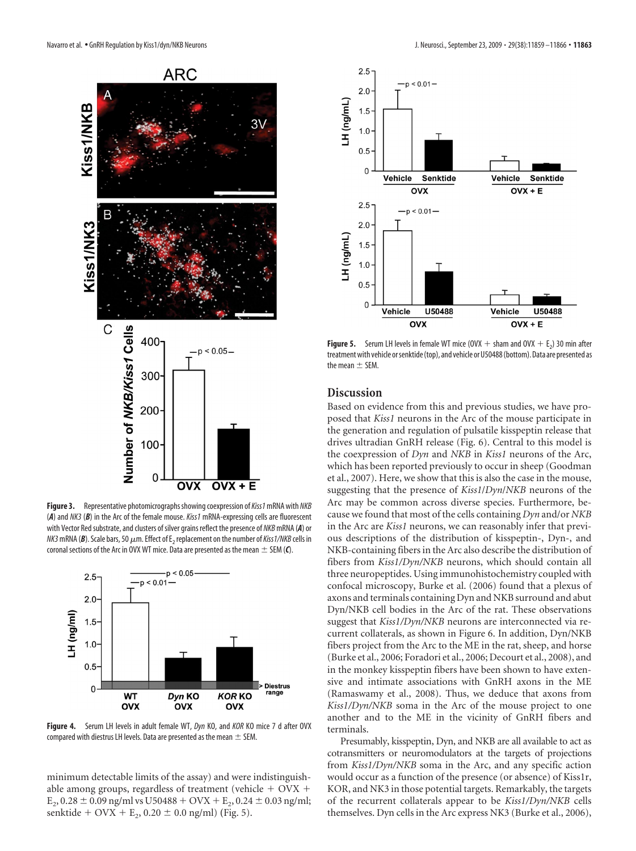

**Figure 3.** Representative photomicrographsshowing coexpression of*Kiss1*mRNA with *NKB* (*A*) and *NK3* (*B*) in the Arc of the female mouse. *Kiss1* mRNA-expressing cells are fluorescent with Vector Red substrate, and clusters of silver grains reflect the presence of *NKB*mRNA (*A*) or  $NK3$  mRNA (B). Scale bars, 50  $\mu$ m. Effect of E<sub>2</sub> replacement on the number of *Kiss1/NKB* cells in coronal sections of the Arc in OVX WT mice. Data are presented as the mean  $\pm$  SEM (*C*).



**Figure 4.** Serum LH levels in adult female WT, *Dyn* KO, and *KOR* KO mice 7 d after OVX compared with diestrus LH levels. Data are presented as the mean  $\pm$  SEM.

minimum detectable limits of the assay) and were indistinguishable among groups, regardless of treatment (vehicle  $+$  OVX  $+$  $E_2$ , 0.28  $\pm$  0.09 ng/ml vs U50488 + OVX +  $E_2$ , 0.24  $\pm$  0.03 ng/ml; senktide + OVX +  $E_2$ , 0.20  $\pm$  0.0 ng/ml) (Fig. 5).



**Figure 5.** Serum LH levels in female WT mice (OVX  $+$  sham and OVX  $+$  E<sub>2</sub>) 30 min after treatment with vehicle or senktide (top), and vehicle or U50488 (bottom). Data are presented as the mean  $\pm$  SEM.

# **Discussion**

Based on evidence from this and previous studies, we have proposed that *Kiss1* neurons in the Arc of the mouse participate in the generation and regulation of pulsatile kisspeptin release that drives ultradian GnRH release (Fig. 6). Central to this model is the coexpression of *Dyn* and *NKB* in *Kiss1* neurons of the Arc, which has been reported previously to occur in sheep (Goodman et al., 2007). Here, we show that this is also the case in the mouse, suggesting that the presence of *Kiss1*/*Dyn*/*NKB* neurons of the Arc may be common across diverse species. Furthermore, because we found that most of the cells containing *Dyn* and/or *NKB* in the Arc are *Kiss1* neurons, we can reasonably infer that previous descriptions of the distribution of kisspeptin-, Dyn-, and NKB-containing fibers in the Arc also describe the distribution of fibers from *Kiss1/Dyn/NKB* neurons, which should contain all three neuropeptides. Using immunohistochemistry coupled with confocal microscopy, Burke et al. (2006) found that a plexus of axons and terminals containing Dyn and NKB surround and abut Dyn/NKB cell bodies in the Arc of the rat. These observations suggest that *Kiss1/Dyn/NKB* neurons are interconnected via recurrent collaterals, as shown in Figure 6. In addition, Dyn/NKB fibers project from the Arc to the ME in the rat, sheep, and horse (Burke et al., 2006; Foradori et al., 2006; Decourt et al., 2008), and in the monkey kisspeptin fibers have been shown to have extensive and intimate associations with GnRH axons in the ME (Ramaswamy et al., 2008). Thus, we deduce that axons from *Kiss1/Dyn/NKB* soma in the Arc of the mouse project to one another and to the ME in the vicinity of GnRH fibers and terminals.

Presumably, kisspeptin, Dyn, and NKB are all available to act as cotransmitters or neuromodulators at the targets of projections from *Kiss1/Dyn/NKB* soma in the Arc, and any specific action would occur as a function of the presence (or absence) of Kiss1r, KOR, and NK3 in those potential targets. Remarkably, the targets of the recurrent collaterals appear to be *Kiss1/Dyn/NKB* cells themselves. Dyn cells in the Arc express NK3 (Burke et al., 2006),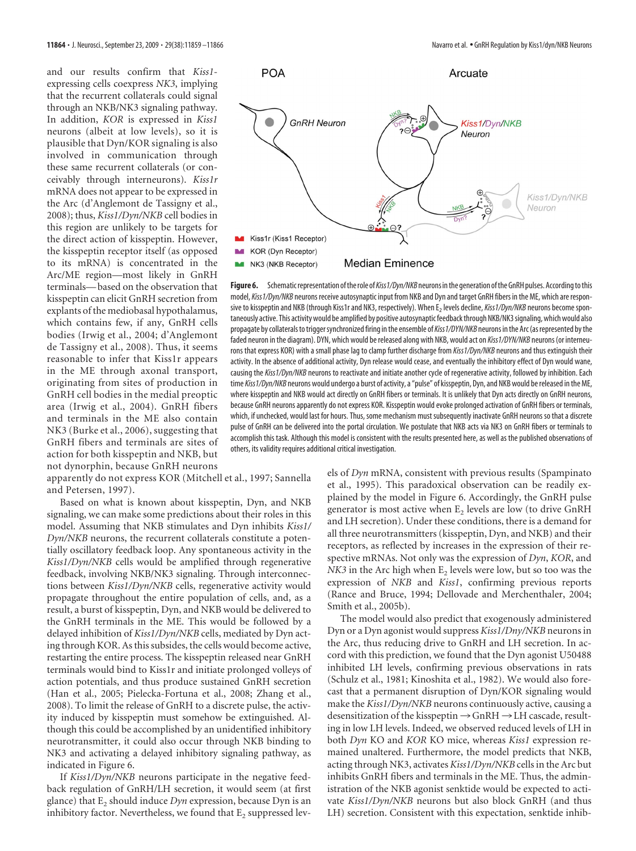and our results confirm that *Kiss1* expressing cells coexpress *NK3*, implying that the recurrent collaterals could signal through an NKB/NK3 signaling pathway. In addition, *KOR* is expressed in *Kiss1* neurons (albeit at low levels), so it is plausible that Dyn/KOR signaling is also involved in communication through these same recurrent collaterals (or conceivably through interneurons). *Kiss1r* mRNA does not appear to be expressed in the Arc (d'Anglemont de Tassigny et al., 2008); thus, *Kiss1/Dyn/NKB* cell bodies in this region are unlikely to be targets for the direct action of kisspeptin. However, the kisspeptin receptor itself (as opposed to its mRNA) is concentrated in the Arc/ME region—most likely in GnRH terminals— based on the observation that kisspeptin can elicit GnRH secretion from explants of the mediobasal hypothalamus, which contains few, if any, GnRH cells bodies (Irwig et al., 2004; d'Anglemont de Tassigny et al., 2008). Thus, it seems reasonable to infer that Kiss1r appears in the ME through axonal transport, originating from sites of production in GnRH cell bodies in the medial preoptic area (Irwig et al., 2004). GnRH fibers and terminals in the ME also contain NK3 (Burke et al., 2006), suggesting that GnRH fibers and terminals are sites of action for both kisspeptin and NKB, but not dynorphin, because GnRH neurons

apparently do not express KOR (Mitchell et al., 1997; Sannella and Petersen, 1997).

Based on what is known about kisspeptin, Dyn, and NKB signaling, we can make some predictions about their roles in this model. Assuming that NKB stimulates and Dyn inhibits *Kiss1/ Dyn/NKB* neurons, the recurrent collaterals constitute a potentially oscillatory feedback loop. Any spontaneous activity in the *Kiss1/Dyn/NKB* cells would be amplified through regenerative feedback, involving NKB/NK3 signaling. Through interconnections between *Kiss1/Dyn/NKB* cells, regenerative activity would propagate throughout the entire population of cells, and, as a result, a burst of kisspeptin, Dyn, and NKB would be delivered to the GnRH terminals in the ME. This would be followed by a delayed inhibition of *Kiss1/Dyn/NKB* cells, mediated by Dyn acting through KOR. As this subsides, the cells would become active, restarting the entire process. The kisspeptin released near GnRH terminals would bind to Kiss1r and initiate prolonged volleys of action potentials, and thus produce sustained GnRH secretion (Han et al., 2005; Pielecka-Fortuna et al., 2008; Zhang et al., 2008). To limit the release of GnRH to a discrete pulse, the activity induced by kisspeptin must somehow be extinguished. Although this could be accomplished by an unidentified inhibitory neurotransmitter, it could also occur through NKB binding to NK3 and activating a delayed inhibitory signaling pathway, as indicated in Figure 6.

If *Kiss1/Dyn/NKB* neurons participate in the negative feedback regulation of GnRH/LH secretion, it would seem (at first glance) that  $E_2$  should induce  $Dyn$  expression, because  $Dyn$  is an inhibitory factor. Nevertheless, we found that  $E<sub>2</sub>$  suppressed lev-



Figure 6. Schematic representation of the role of *Kiss1/Dyn/NKB* neurons in the generation of the GnRH pulses. According to this model,*Kiss1/Dyn/NKB* neurons receive autosynaptic input from NKB and Dyn and target GnRH fibers in the ME, which are responsive to kisspeptin and NKB (through Kiss1r and NK3, respectively). When E<sub>2</sub> levels decline, *Kiss1/Dyn/NKB* neurons become spontaneously active. This activity would be amplified by positive autosynaptic feedback through NKB/NK3 signaling, which would also propagate by collaterals to trigger synchronized firing in the ensemble of *Kiss1/DYN/NKB* neurons in the Arc (as represented by the faded neuron in the diagram). DYN, which would be released along with NKB, would act on *Kiss1/DYN/NKB* neurons (or interneurons that express KOR) with a small phase lag to clamp further discharge from *Kiss1/Dyn/NKB* neurons and thus extinguish their activity. In the absence of additional activity, Dyn release would cease, and eventually the inhibitory effect of Dyn would wane, causing the*Kiss1/Dyn/NKB* neurons to reactivate and initiate another cycle of regenerative activity, followed by inhibition. Each time *Kiss1/Dyn/NKB* neurons would undergo a burst of activity, a "pulse" of kisspeptin, Dyn, and NKB would be released in the ME, where kisspeptin and NKB would act directly on GnRH fibers or terminals. It is unlikely that Dyn acts directly on GnRH neurons, because GnRH neurons apparently do not express KOR. Kisspeptin would evoke prolonged activation of GnRH fibers or terminals, which, if unchecked, would last for hours. Thus, some mechanism must subsequently inactivate GnRH neurons so that a discrete pulse of GnRH can be delivered into the portal circulation. We postulate that NKB acts via NK3 on GnRH fibers or terminals to accomplish this task. Although this model is consistent with the results presented here, as well as the published observations of others, its validity requires additional critical investigation.

els of *Dyn* mRNA, consistent with previous results (Spampinato et al., 1995). This paradoxical observation can be readily explained by the model in Figure 6. Accordingly, the GnRH pulse generator is most active when  $E_2$  levels are low (to drive GnRH and LH secretion). Under these conditions, there is a demand for all three neurotransmitters (kisspeptin, Dyn, and NKB) and their receptors, as reflected by increases in the expression of their respective mRNAs. Not only was the expression of *Dyn*, *KOR*, and  $NK3$  in the Arc high when  $E_2$  levels were low, but so too was the expression of *NKB* and *Kiss1*, confirming previous reports (Rance and Bruce, 1994; Dellovade and Merchenthaler, 2004; Smith et al., 2005b).

The model would also predict that exogenously administered Dyn or a Dyn agonist would suppress *Kiss1/Dny/NKB* neurons in the Arc, thus reducing drive to GnRH and LH secretion. In accord with this prediction, we found that the Dyn agonist U50488 inhibited LH levels, confirming previous observations in rats (Schulz et al., 1981; Kinoshita et al., 1982). We would also forecast that a permanent disruption of Dyn/KOR signaling would make the *Kiss1/Dyn/NKB* neurons continuously active, causing a desensitization of the kisspeptin  $\rightarrow$  GnRH  $\rightarrow$  LH cascade, resulting in low LH levels. Indeed, we observed reduced levels of LH in both *Dyn* KO and *KOR* KO mice, whereas *Kiss1* expression remained unaltered. Furthermore, the model predicts that NKB, acting through NK3, activates *Kiss1/Dyn/NKB* cells in the Arc but inhibits GnRH fibers and terminals in the ME. Thus, the administration of the NKB agonist senktide would be expected to activate *Kiss1/Dyn/NKB* neurons but also block GnRH (and thus LH) secretion. Consistent with this expectation, senktide inhib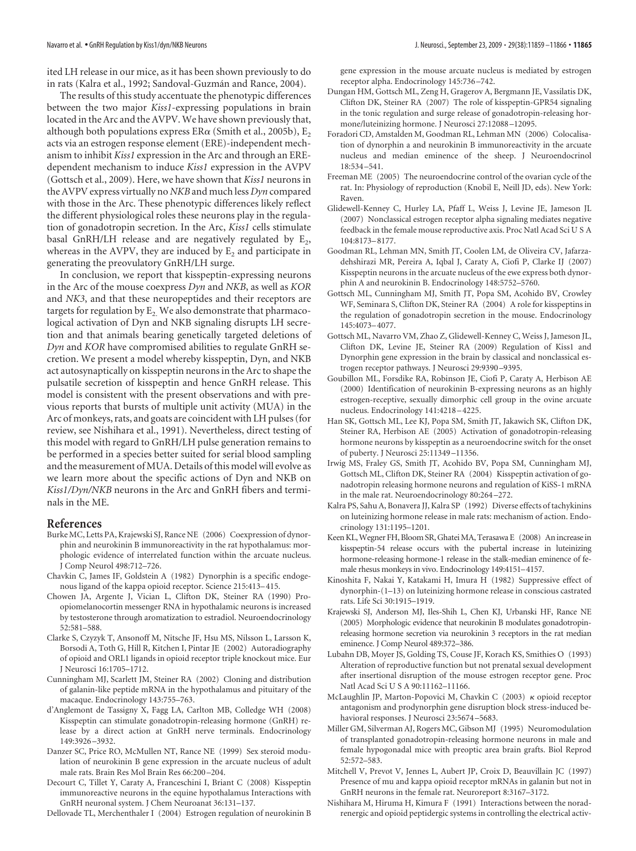ited LH release in our mice, as it has been shown previously to do in rats (Kalra et al., 1992; Sandoval-Guzmán and Rance, 2004).

The results of this study accentuate the phenotypic differences between the two major *Kiss1*-expressing populations in brain located in the Arc and the AVPV. We have shown previously that, although both populations express  $ER\alpha$  (Smith et al., 2005b),  $E_2$ acts via an estrogen response element (ERE)-independent mechanism to inhibit *Kiss1* expression in the Arc and through an EREdependent mechanism to induce *Kiss1* expression in the AVPV (Gottsch et al., 2009). Here, we have shown that *Kiss1* neurons in the AVPV express virtually no *NKB* and much less *Dyn* compared with those in the Arc. These phenotypic differences likely reflect the different physiological roles these neurons play in the regulation of gonadotropin secretion. In the Arc, *Kiss1* cells stimulate basal GnRH/LH release and are negatively regulated by  $E_2$ , whereas in the AVPV, they are induced by  $E<sub>2</sub>$  and participate in generating the preovulatory GnRH/LH surge.

In conclusion, we report that kisspeptin-expressing neurons in the Arc of the mouse coexpress *Dyn* and *NKB*, as well as *KOR* and *NK3*, and that these neuropeptides and their receptors are targets for regulation by  $E_2$ . We also demonstrate that pharmacological activation of Dyn and NKB signaling disrupts LH secretion and that animals bearing genetically targeted deletions of *Dyn* and *KOR* have compromised abilities to regulate GnRH secretion. We present a model whereby kisspeptin, Dyn, and NKB act autosynaptically on kisspeptin neurons in the Arc to shape the pulsatile secretion of kisspeptin and hence GnRH release. This model is consistent with the present observations and with previous reports that bursts of multiple unit activity (MUA) in the Arc of monkeys, rats, and goats are coincident with LH pulses (for review, see Nishihara et al., 1991). Nevertheless, direct testing of this model with regard to GnRH/LH pulse generation remains to be performed in a species better suited for serial blood sampling and the measurement of MUA. Details of this model will evolve as we learn more about the specific actions of Dyn and NKB on *Kiss1/Dyn/NKB* neurons in the Arc and GnRH fibers and terminals in the ME.

# **References**

- Burke MC, Letts PA, Krajewski SJ, Rance NE (2006) Coexpression of dynorphin and neurokinin B immunoreactivity in the rat hypothalamus: morphologic evidence of interrelated function within the arcuate nucleus. J Comp Neurol 498:712–726.
- Chavkin C, James IF, Goldstein A (1982) Dynorphin is a specific endogenous ligand of the kappa opioid receptor. Science 215:413–415.
- Chowen JA, Argente J, Vician L, Clifton DK, Steiner RA (1990) Proopiomelanocortin messenger RNA in hypothalamic neurons is increased by testosterone through aromatization to estradiol. Neuroendocrinology 52:581–588.
- Clarke S, Czyzyk T, Ansonoff M, Nitsche JF, Hsu MS, Nilsson L, Larsson K, Borsodi A, Toth G, Hill R, Kitchen I, Pintar JE (2002) Autoradiography of opioid and ORL1 ligands in opioid receptor triple knockout mice. Eur J Neurosci 16:1705–1712.
- Cunningham MJ, Scarlett JM, Steiner RA (2002) Cloning and distribution of galanin-like peptide mRNA in the hypothalamus and pituitary of the macaque. Endocrinology 143:755–763.
- d'Anglemont de Tassigny X, Fagg LA, Carlton MB, Colledge WH (2008) Kisspeptin can stimulate gonadotropin-releasing hormone (GnRH) release by a direct action at GnRH nerve terminals. Endocrinology 149:3926 –3932.
- Danzer SC, Price RO, McMullen NT, Rance NE (1999) Sex steroid modulation of neurokinin B gene expression in the arcuate nucleus of adult male rats. Brain Res Mol Brain Res 66:200 –204.
- Decourt C, Tillet Y, Caraty A, Franceschini I, Briant C (2008) Kisspeptin immunoreactive neurons in the equine hypothalamus Interactions with GnRH neuronal system. J Chem Neuroanat 36:131–137.
- Dellovade TL, Merchenthaler I (2004) Estrogen regulation of neurokinin B

gene expression in the mouse arcuate nucleus is mediated by estrogen receptor alpha. Endocrinology 145:736 –742.

- Dungan HM, Gottsch ML, Zeng H, Gragerov A, Bergmann JE, Vassilatis DK, Clifton DK, Steiner RA (2007) The role of kisspeptin-GPR54 signaling in the tonic regulation and surge release of gonadotropin-releasing hormone/luteinizing hormone. J Neurosci 27:12088 –12095.
- Foradori CD, Amstalden M, Goodman RL, Lehman MN (2006) Colocalisation of dynorphin a and neurokinin B immunoreactivity in the arcuate nucleus and median eminence of the sheep. J Neuroendocrinol 18:534 –541.
- Freeman ME (2005) The neuroendocrine control of the ovarian cycle of the rat. In: Physiology of reproduction (Knobil E, Neill JD, eds). New York: Raven.
- Glidewell-Kenney C, Hurley LA, Pfaff L, Weiss J, Levine JE, Jameson JL (2007) Nonclassical estrogen receptor alpha signaling mediates negative feedback in the female mouse reproductive axis. Proc Natl Acad Sci U S A 104:8173–8177.
- Goodman RL, Lehman MN, Smith JT, Coolen LM, de Oliveira CV, Jafarzadehshirazi MR, Pereira A, Iqbal J, Caraty A, Ciofi P, Clarke IJ (2007) Kisspeptin neurons in the arcuate nucleus of the ewe express both dynorphin A and neurokinin B. Endocrinology 148:5752–5760.
- Gottsch ML, Cunningham MJ, Smith JT, Popa SM, Acohido BV, Crowley WF, Seminara S, Clifton DK, Steiner RA (2004) A role for kisspeptins in the regulation of gonadotropin secretion in the mouse. Endocrinology 145:4073–4077.
- Gottsch ML, Navarro VM, Zhao Z, Glidewell-Kenney C, Weiss J, Jameson JL, Clifton DK, Levine JE, Steiner RA (2009) Regulation of Kiss1 and Dynorphin gene expression in the brain by classical and nonclassical estrogen receptor pathways. J Neurosci 29:9390 –9395.
- Goubillon ML, Forsdike RA, Robinson JE, Ciofi P, Caraty A, Herbison AE (2000) Identification of neurokinin B-expressing neurons as an highly estrogen-receptive, sexually dimorphic cell group in the ovine arcuate nucleus. Endocrinology 141:4218 –4225.
- Han SK, Gottsch ML, Lee KJ, Popa SM, Smith JT, Jakawich SK, Clifton DK, Steiner RA, Herbison AE (2005) Activation of gonadotropin-releasing hormone neurons by kisspeptin as a neuroendocrine switch for the onset of puberty. J Neurosci 25:11349 –11356.
- Irwig MS, Fraley GS, Smith JT, Acohido BV, Popa SM, Cunningham MJ, Gottsch ML, Clifton DK, Steiner RA (2004) Kisspeptin activation of gonadotropin releasing hormone neurons and regulation of KiSS-1 mRNA in the male rat. Neuroendocrinology 80:264 –272.
- Kalra PS, Sahu A, Bonavera JJ, Kalra SP (1992) Diverse effects of tachykinins on luteinizing hormone release in male rats: mechanism of action. Endocrinology 131:1195–1201.
- Keen KL, Wegner FH, Bloom SR, Ghatei MA, Terasawa E (2008) An increase in kisspeptin-54 release occurs with the pubertal increase in luteinizing hormone-releasing hormone-1 release in the stalk-median eminence of female rhesus monkeys in vivo. Endocrinology 149:4151–4157.
- Kinoshita F, Nakai Y, Katakami H, Imura H (1982) Suppressive effect of dynorphin-(1–13) on luteinizing hormone release in conscious castrated rats. Life Sci 30:1915–1919.
- Krajewski SJ, Anderson MJ, Iles-Shih L, Chen KJ, Urbanski HF, Rance NE (2005) Morphologic evidence that neurokinin B modulates gonadotropinreleasing hormone secretion via neurokinin 3 receptors in the rat median eminence. J Comp Neurol 489:372–386.
- Lubahn DB, Moyer JS, Golding TS, Couse JF, Korach KS, Smithies O (1993) Alteration of reproductive function but not prenatal sexual development after insertional disruption of the mouse estrogen receptor gene. Proc Natl Acad Sci U S A 90:11162–11166.
- McLaughlin JP, Marton-Popovici M, Chavkin C  $(2003)$   $\kappa$  opioid receptor antagonism and prodynorphin gene disruption block stress-induced behavioral responses. J Neurosci 23:5674 –5683.
- Miller GM, Silverman AJ, Rogers MC, Gibson MJ (1995) Neuromodulation of transplanted gonadotropin-releasing hormone neurons in male and female hypogonadal mice with preoptic area brain grafts. Biol Reprod 52:572–583.
- Mitchell V, Prevot V, Jennes L, Aubert JP, Croix D, Beauvillain JC (1997) Presence of mu and kappa opioid receptor mRNAs in galanin but not in GnRH neurons in the female rat. Neuroreport 8:3167–3172.
- Nishihara M, Hiruma H, Kimura F (1991) Interactions between the noradrenergic and opioid peptidergic systems in controlling the electrical activ-